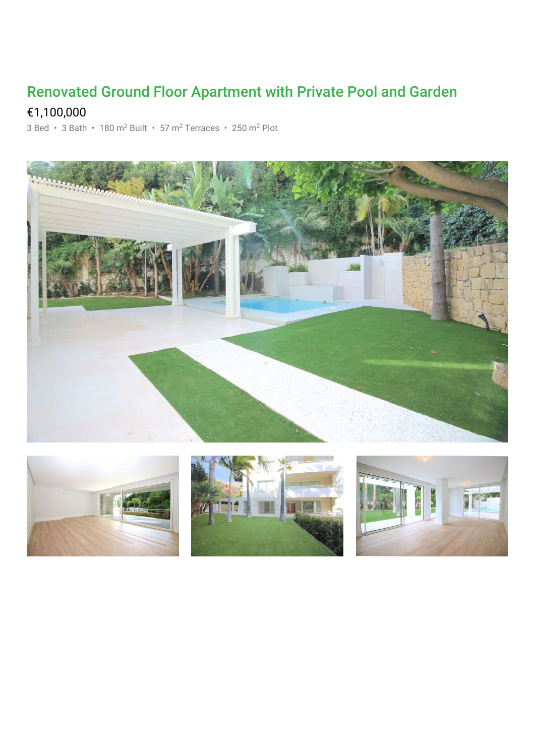## Renovated Ground Floor Apartment with Private Pool and Garden

## €1,100,000

3 Bed · 3 Bath · 180 m<sup>2</sup> Built · 57 m<sup>2</sup> Terraces · 250 m<sup>2</sup> Plot